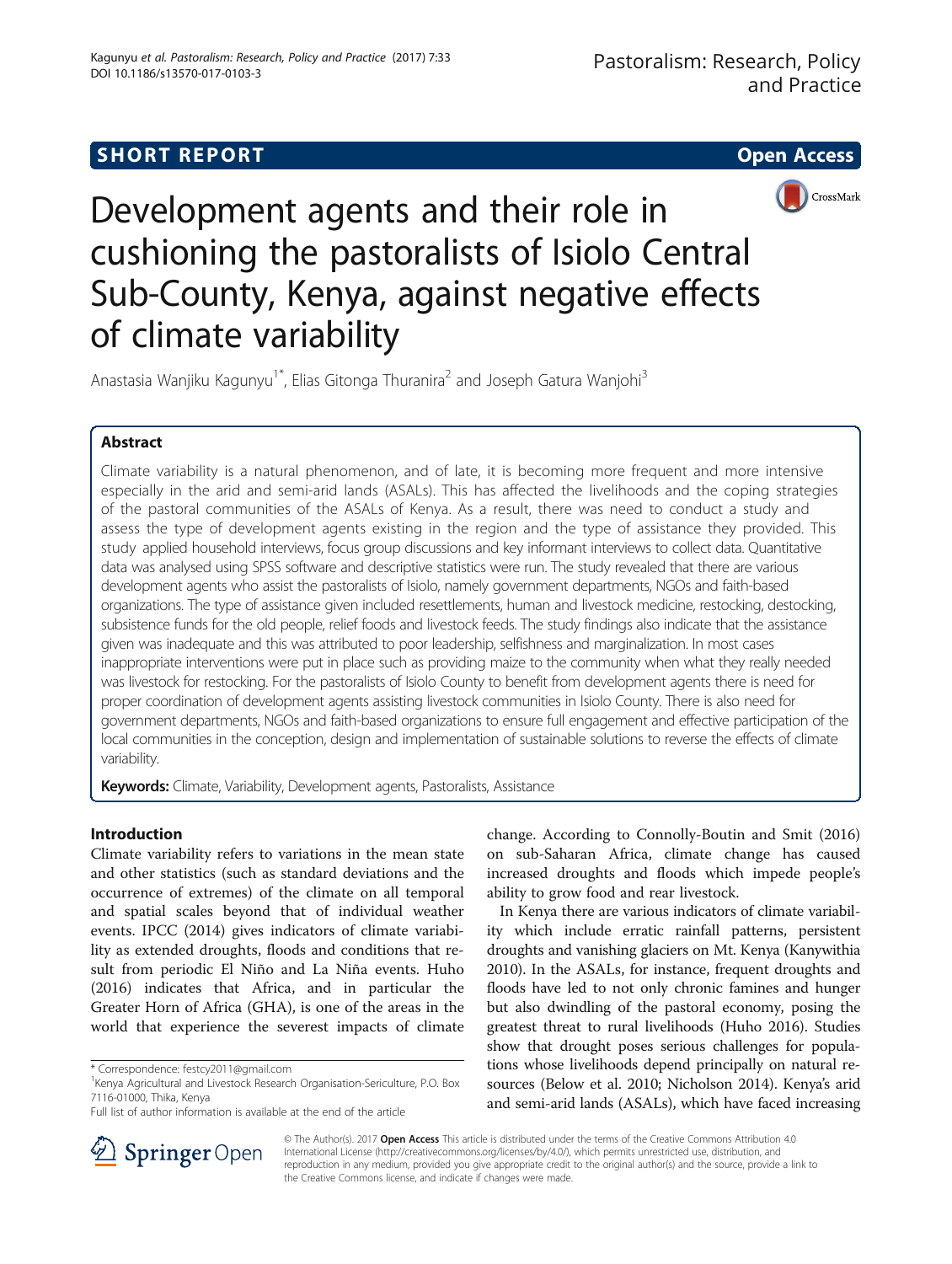## **SHORT REPORT SHORT CONSUMING THE OPEN ACCESS**





Development agents and their role in cushioning the pastoralists of Isiolo Central Sub-County, Kenya, against negative effects of climate variability

Anastasia Wanjiku Kagunyu<sup>1\*</sup>, Elias Gitonga Thuranira<sup>2</sup> and Joseph Gatura Wanjohi<sup>3</sup>

## Abstract

Climate variability is a natural phenomenon, and of late, it is becoming more frequent and more intensive especially in the arid and semi-arid lands (ASALs). This has affected the livelihoods and the coping strategies of the pastoral communities of the ASALs of Kenya. As a result, there was need to conduct a study and assess the type of development agents existing in the region and the type of assistance they provided. This study applied household interviews, focus group discussions and key informant interviews to collect data. Quantitative data was analysed using SPSS software and descriptive statistics were run. The study revealed that there are various development agents who assist the pastoralists of Isiolo, namely government departments, NGOs and faith-based organizations. The type of assistance given included resettlements, human and livestock medicine, restocking, destocking, subsistence funds for the old people, relief foods and livestock feeds. The study findings also indicate that the assistance given was inadequate and this was attributed to poor leadership, selfishness and marginalization. In most cases inappropriate interventions were put in place such as providing maize to the community when what they really needed was livestock for restocking. For the pastoralists of Isiolo County to benefit from development agents there is need for proper coordination of development agents assisting livestock communities in Isiolo County. There is also need for government departments, NGOs and faith-based organizations to ensure full engagement and effective participation of the local communities in the conception, design and implementation of sustainable solutions to reverse the effects of climate variability.

Keywords: Climate, Variability, Development agents, Pastoralists, Assistance

## Introduction

Climate variability refers to variations in the mean state and other statistics (such as standard deviations and the occurrence of extremes) of the climate on all temporal and spatial scales beyond that of individual weather events. IPCC [\(2014\)](#page-5-0) gives indicators of climate variability as extended droughts, floods and conditions that result from periodic El Niño and La Niña events. Huho ([2016](#page-5-0)) indicates that Africa, and in particular the Greater Horn of Africa (GHA), is one of the areas in the world that experience the severest impacts of climate

change. According to Connolly-Boutin and Smit ([2016](#page-5-0)) on sub-Saharan Africa, climate change has caused increased droughts and floods which impede people's ability to grow food and rear livestock.

In Kenya there are various indicators of climate variability which include erratic rainfall patterns, persistent droughts and vanishing glaciers on Mt. Kenya (Kanywithia [2010\)](#page-5-0). In the ASALs, for instance, frequent droughts and floods have led to not only chronic famines and hunger but also dwindling of the pastoral economy, posing the greatest threat to rural livelihoods (Huho [2016](#page-5-0)). Studies show that drought poses serious challenges for populations whose livelihoods depend principally on natural resources (Below et al. [2010;](#page-5-0) Nicholson [2014](#page-5-0)). Kenya's arid and semi-arid lands (ASALs), which have faced increasing



© The Author(s). 2017 Open Access This article is distributed under the terms of the Creative Commons Attribution 4.0 International License ([http://creativecommons.org/licenses/by/4.0/\)](http://creativecommons.org/licenses/by/4.0/), which permits unrestricted use, distribution, and reproduction in any medium, provided you give appropriate credit to the original author(s) and the source, provide a link to the Creative Commons license, and indicate if changes were made.

<sup>\*</sup> Correspondence: [festcy2011@gmail.com](mailto:festcy2011@gmail.com) <sup>1</sup>

<sup>&</sup>lt;sup>1</sup> Kenya Agricultural and Livestock Research Organisation-Sericulture, P.O. Box 7116-01000, Thika, Kenya

Full list of author information is available at the end of the article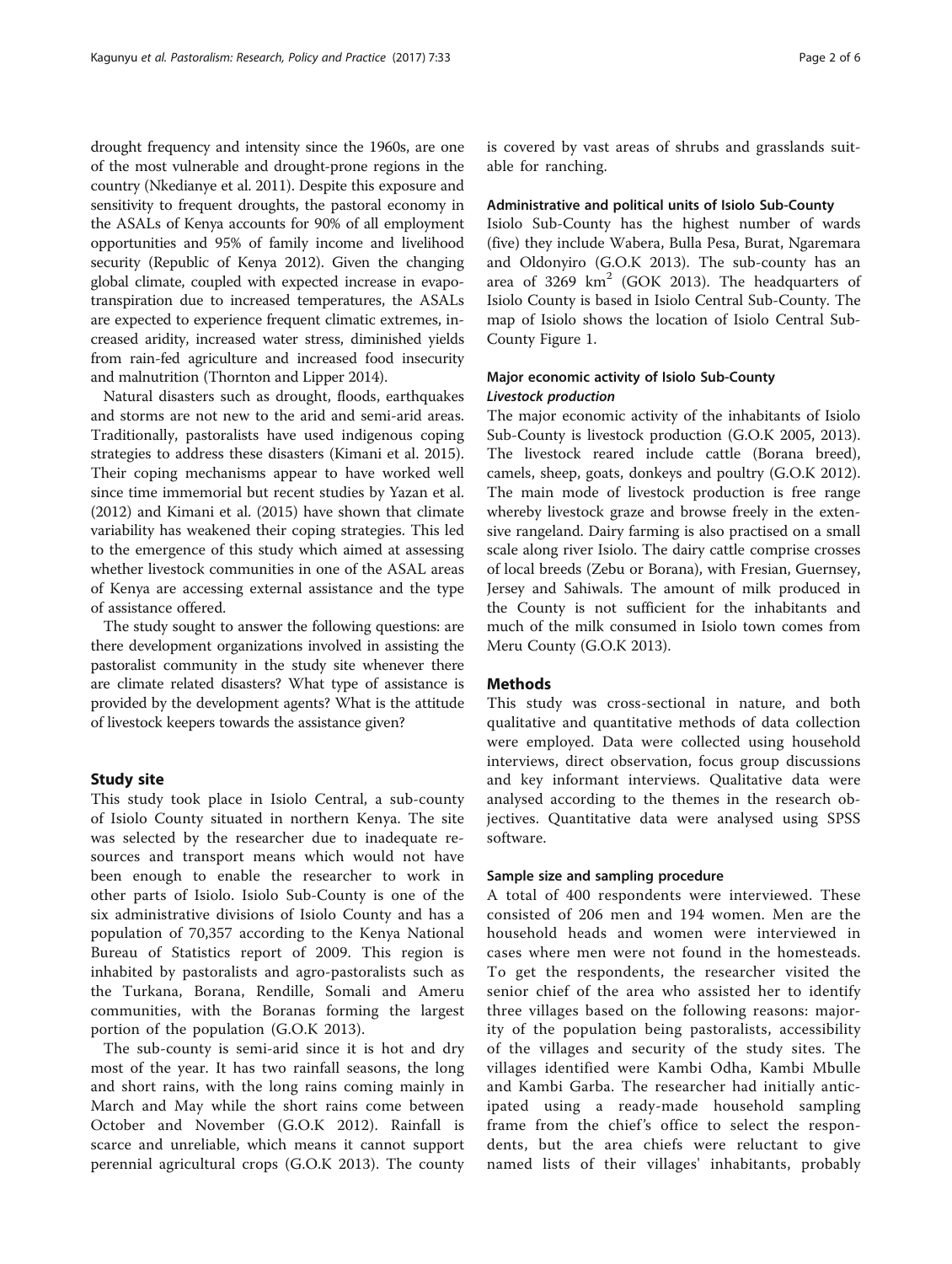drought frequency and intensity since the 1960s, are one of the most vulnerable and drought-prone regions in the country (Nkedianye et al. [2011](#page-5-0)). Despite this exposure and sensitivity to frequent droughts, the pastoral economy in the ASALs of Kenya accounts for 90% of all employment opportunities and 95% of family income and livelihood security (Republic of Kenya [2012\)](#page-5-0). Given the changing global climate, coupled with expected increase in evapotranspiration due to increased temperatures, the ASALs are expected to experience frequent climatic extremes, increased aridity, increased water stress, diminished yields from rain-fed agriculture and increased food insecurity and malnutrition (Thornton and Lipper [2014](#page-5-0)).

Natural disasters such as drought, floods, earthquakes and storms are not new to the arid and semi-arid areas. Traditionally, pastoralists have used indigenous coping strategies to address these disasters (Kimani et al. [2015](#page-5-0)). Their coping mechanisms appear to have worked well since time immemorial but recent studies by Yazan et al. ([2012](#page-5-0)) and Kimani et al. ([2015](#page-5-0)) have shown that climate variability has weakened their coping strategies. This led to the emergence of this study which aimed at assessing whether livestock communities in one of the ASAL areas of Kenya are accessing external assistance and the type of assistance offered.

The study sought to answer the following questions: are there development organizations involved in assisting the pastoralist community in the study site whenever there are climate related disasters? What type of assistance is provided by the development agents? What is the attitude of livestock keepers towards the assistance given?

#### Study site

This study took place in Isiolo Central, a sub-county of Isiolo County situated in northern Kenya. The site was selected by the researcher due to inadequate resources and transport means which would not have been enough to enable the researcher to work in other parts of Isiolo. Isiolo Sub-County is one of the six administrative divisions of Isiolo County and has a population of 70,357 according to the Kenya National Bureau of Statistics report of 2009. This region is inhabited by pastoralists and agro-pastoralists such as the [Turkana](http://www.kenya-information-guide.com/turkana-tribe.html), Borana, Rendille, [Somali](http://www.kenya-information-guide.com/somali-tribe.html) and A[meru](http://www.kenya-information-guide.com/meru-tribe.html) communities, with the Boranas forming the largest portion of the population (G.O.K [2013\)](#page-5-0).

The sub-county is semi-arid since it is hot and dry most of the year. It has two rainfall seasons, the long and short rains, with the long rains coming mainly in March and May while the short rains come between October and November (G.O.K [2012](#page-5-0)). Rainfall is scarce and unreliable, which means it cannot support perennial agricultural crops (G.O.K [2013\)](#page-5-0). The county is covered by vast areas of shrubs and grasslands suitable for ranching.

#### Administrative and political units of Isiolo Sub-County

Isiolo Sub-County has the highest number of wards (five) they include Wabera, Bulla Pesa, Burat, Ngaremara and Oldonyiro (G.O.K [2013](#page-5-0)). The sub-county has an area of 3269  $km^2$  (GOK 2013). The headquarters of Isiolo County is based in Isiolo Central Sub-County. The map of Isiolo shows the location of Isiolo Central Sub-County Figure [1](#page-2-0).

#### Major economic activity of Isiolo Sub-County Livestock production

The major economic activity of the inhabitants of Isiolo Sub-County is livestock production (G.O.K [2005, 2013](#page-5-0)). The livestock reared include cattle (Borana breed), camels, sheep, goats, donkeys and poultry (G.O.K [2012](#page-5-0)). The main mode of livestock production is free range whereby livestock graze and browse freely in the extensive rangeland. Dairy farming is also practised on a small scale along river Isiolo. The dairy cattle comprise crosses of local breeds (Zebu or Borana), with Fresian, Guernsey, Jersey and Sahiwals. The amount of milk produced in the County is not sufficient for the inhabitants and much of the milk consumed in Isiolo town comes from Meru County (G.O.K [2013\)](#page-5-0).

#### **Methods**

This study was cross-sectional in nature, and both qualitative and quantitative methods of data collection were employed. Data were collected using household interviews, direct observation, focus group discussions and key informant interviews. Qualitative data were analysed according to the themes in the research objectives. Quantitative data were analysed using SPSS software.

#### Sample size and sampling procedure

A total of 400 respondents were interviewed. These consisted of 206 men and 194 women. Men are the household heads and women were interviewed in cases where men were not found in the homesteads. To get the respondents, the researcher visited the senior chief of the area who assisted her to identify three villages based on the following reasons: majority of the population being pastoralists, accessibility of the villages and security of the study sites. The villages identified were Kambi Odha, Kambi Mbulle and Kambi Garba. The researcher had initially anticipated using a ready-made household sampling frame from the chief's office to select the respondents, but the area chiefs were reluctant to give named lists of their villages' inhabitants, probably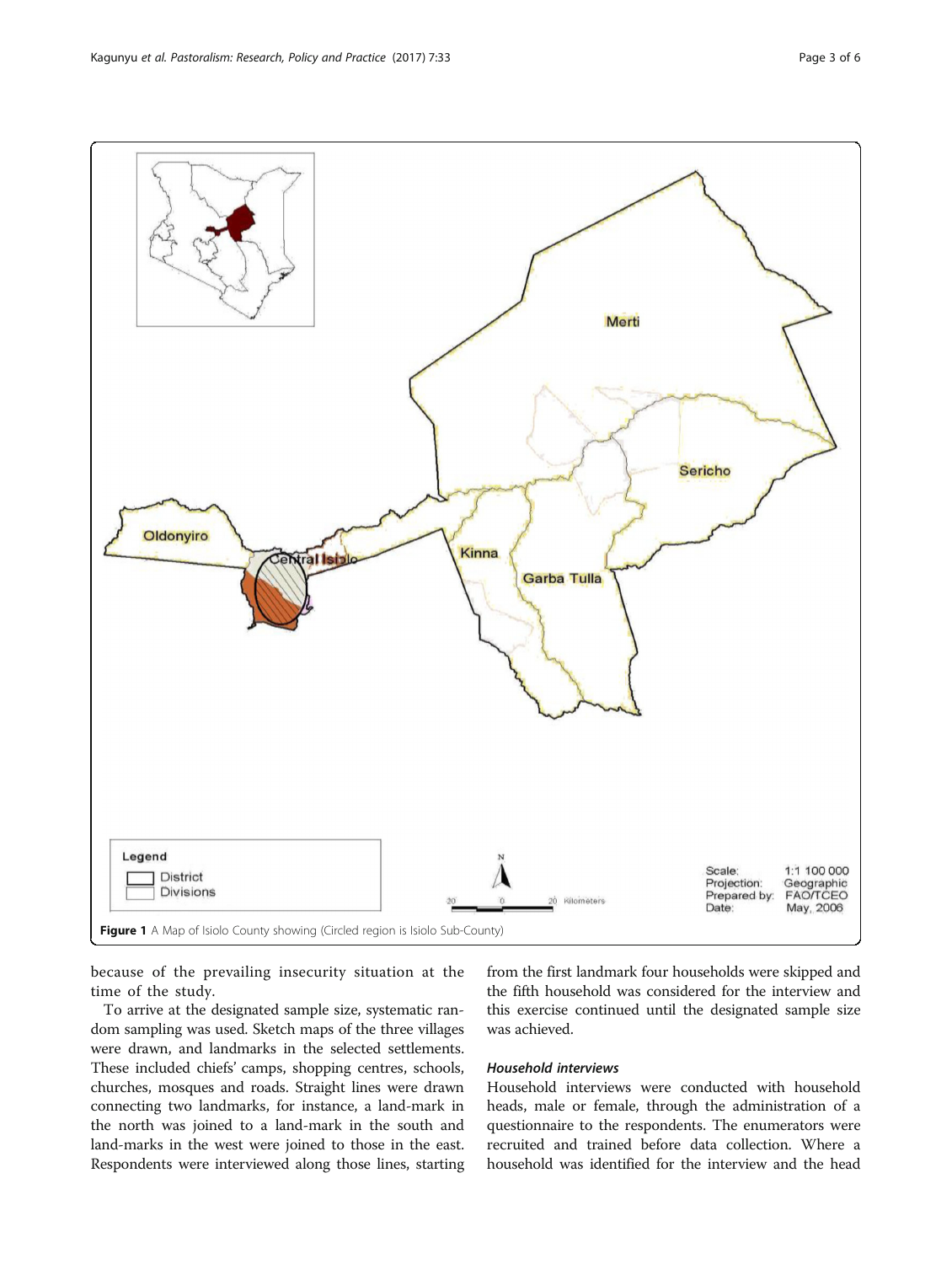<span id="page-2-0"></span>

because of the prevailing insecurity situation at the time of the study.

To arrive at the designated sample size, systematic random sampling was used. Sketch maps of the three villages were drawn, and landmarks in the selected settlements. These included chiefs' camps, shopping centres, schools, churches, mosques and roads. Straight lines were drawn connecting two landmarks, for instance, a land-mark in the north was joined to a land-mark in the south and land-marks in the west were joined to those in the east. Respondents were interviewed along those lines, starting from the first landmark four households were skipped and the fifth household was considered for the interview and this exercise continued until the designated sample size was achieved.

## Household interviews

Household interviews were conducted with household heads, male or female, through the administration of a questionnaire to the respondents. The enumerators were recruited and trained before data collection. Where a household was identified for the interview and the head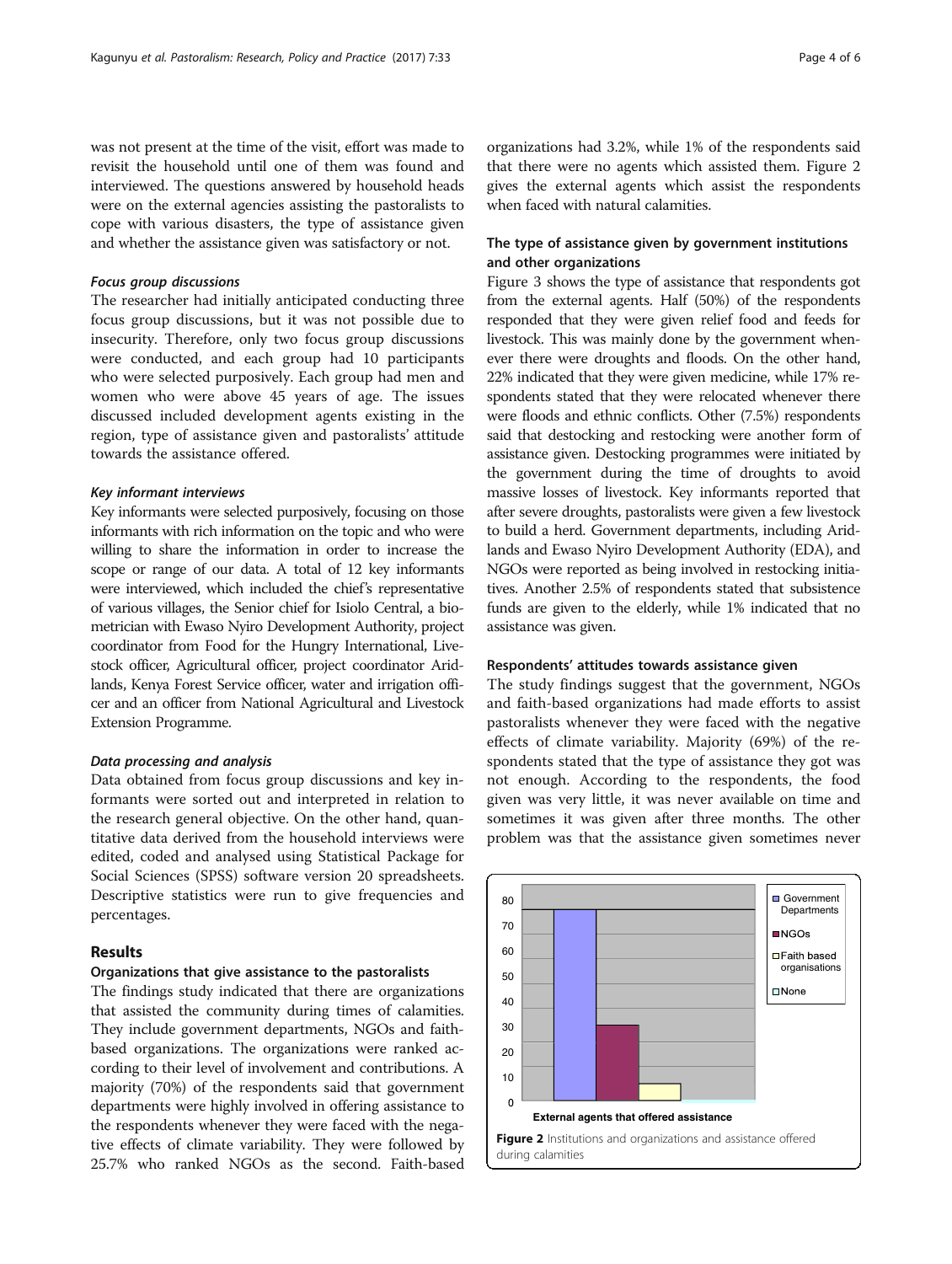was not present at the time of the visit, effort was made to revisit the household until one of them was found and interviewed. The questions answered by household heads were on the external agencies assisting the pastoralists to cope with various disasters, the type of assistance given and whether the assistance given was satisfactory or not.

#### Focus group discussions

The researcher had initially anticipated conducting three focus group discussions, but it was not possible due to insecurity. Therefore, only two focus group discussions were conducted, and each group had 10 participants who were selected purposively. Each group had men and women who were above 45 years of age. The issues discussed included development agents existing in the region, type of assistance given and pastoralists' attitude towards the assistance offered.

#### Key informant interviews

Key informants were selected purposively, focusing on those informants with rich information on the topic and who were willing to share the information in order to increase the scope or range of our data. A total of 12 key informants were interviewed, which included the chief's representative of various villages, the Senior chief for Isiolo Central, a biometrician with Ewaso Nyiro Development Authority, project coordinator from Food for the Hungry International, Livestock officer, Agricultural officer, project coordinator Aridlands, Kenya Forest Service officer, water and irrigation officer and an officer from National Agricultural and Livestock Extension Programme.

#### Data processing and analysis

Data obtained from focus group discussions and key informants were sorted out and interpreted in relation to the research general objective. On the other hand, quantitative data derived from the household interviews were edited, coded and analysed using Statistical Package for Social Sciences (SPSS) software version 20 spreadsheets. Descriptive statistics were run to give frequencies and percentages.

## Results

#### Organizations that give assistance to the pastoralists

The findings study indicated that there are organizations that assisted the community during times of calamities. They include government departments, NGOs and faithbased organizations. The organizations were ranked according to their level of involvement and contributions. A majority (70%) of the respondents said that government departments were highly involved in offering assistance to the respondents whenever they were faced with the negative effects of climate variability. They were followed by 25.7% who ranked NGOs as the second. Faith-based organizations had 3.2%, while 1% of the respondents said that there were no agents which assisted them. Figure 2 gives the external agents which assist the respondents when faced with natural calamities.

## The type of assistance given by government institutions and other organizations

Figure [3](#page-4-0) shows the type of assistance that respondents got from the external agents. Half (50%) of the respondents responded that they were given relief food and feeds for livestock. This was mainly done by the government whenever there were droughts and floods. On the other hand, 22% indicated that they were given medicine, while 17% respondents stated that they were relocated whenever there were floods and ethnic conflicts. Other (7.5%) respondents said that destocking and restocking were another form of assistance given. Destocking programmes were initiated by the government during the time of droughts to avoid massive losses of livestock. Key informants reported that after severe droughts, pastoralists were given a few livestock to build a herd. Government departments, including Aridlands and Ewaso Nyiro Development Authority (EDA), and NGOs were reported as being involved in restocking initiatives. Another 2.5% of respondents stated that subsistence funds are given to the elderly, while 1% indicated that no assistance was given.

#### Respondents' attitudes towards assistance given

The study findings suggest that the government, NGOs and faith-based organizations had made efforts to assist pastoralists whenever they were faced with the negative effects of climate variability. Majority (69%) of the respondents stated that the type of assistance they got was not enough. According to the respondents, the food given was very little, it was never available on time and sometimes it was given after three months. The other problem was that the assistance given sometimes never

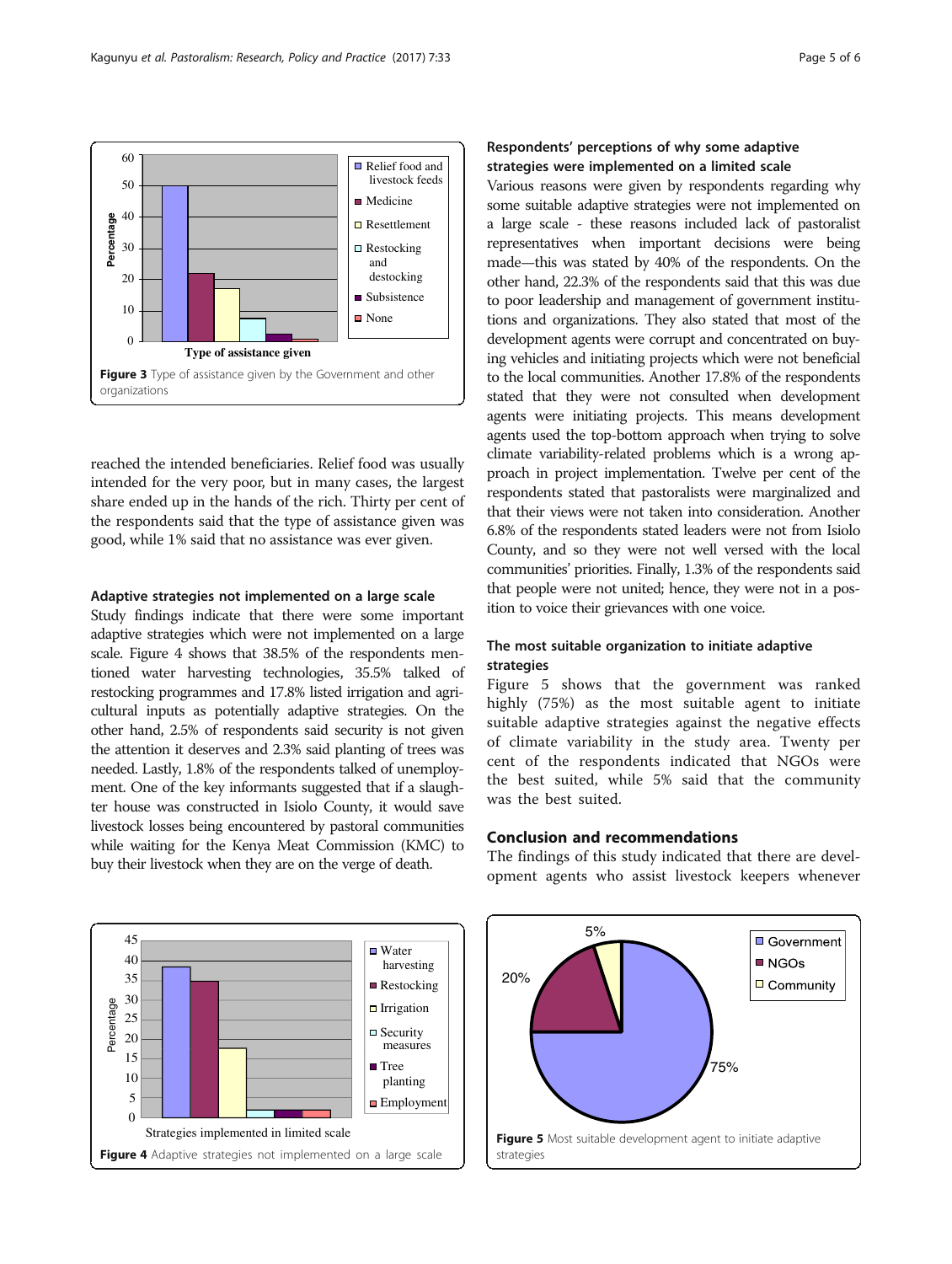

<span id="page-4-0"></span>

reached the intended beneficiaries. Relief food was usually intended for the very poor, but in many cases, the largest share ended up in the hands of the rich. Thirty per cent of the respondents said that the type of assistance given was good, while 1% said that no assistance was ever given.

## Adaptive strategies not implemented on a large scale

Study findings indicate that there were some important adaptive strategies which were not implemented on a large scale. Figure 4 shows that 38.5% of the respondents mentioned water harvesting technologies, 35.5% talked of restocking programmes and 17.8% listed irrigation and agricultural inputs as potentially adaptive strategies. On the other hand, 2.5% of respondents said security is not given the attention it deserves and 2.3% said planting of trees was needed. Lastly, 1.8% of the respondents talked of unemployment. One of the key informants suggested that if a slaughter house was constructed in Isiolo County, it would save livestock losses being encountered by pastoral communities while waiting for the Kenya Meat Commission (KMC) to buy their livestock when they are on the verge of death.



## Respondents' perceptions of why some adaptive strategies were implemented on a limited scale

Various reasons were given by respondents regarding why some suitable adaptive strategies were not implemented on a large scale - these reasons included lack of pastoralist representatives when important decisions were being made—this was stated by 40% of the respondents. On the other hand, 22.3% of the respondents said that this was due to poor leadership and management of government institutions and organizations. They also stated that most of the development agents were corrupt and concentrated on buying vehicles and initiating projects which were not beneficial to the local communities. Another 17.8% of the respondents stated that they were not consulted when development agents were initiating projects. This means development agents used the top-bottom approach when trying to solve climate variability-related problems which is a wrong approach in project implementation. Twelve per cent of the respondents stated that pastoralists were marginalized and that their views were not taken into consideration. Another 6.8% of the respondents stated leaders were not from Isiolo County, and so they were not well versed with the local communities' priorities. Finally, 1.3% of the respondents said that people were not united; hence, they were not in a position to voice their grievances with one voice.

## The most suitable organization to initiate adaptive strategies

Figure 5 shows that the government was ranked highly (75%) as the most suitable agent to initiate suitable adaptive strategies against the negative effects of climate variability in the study area. Twenty per cent of the respondents indicated that NGOs were the best suited, while 5% said that the community was the best suited.

## Conclusion and recommendations

The findings of this study indicated that there are development agents who assist livestock keepers whenever